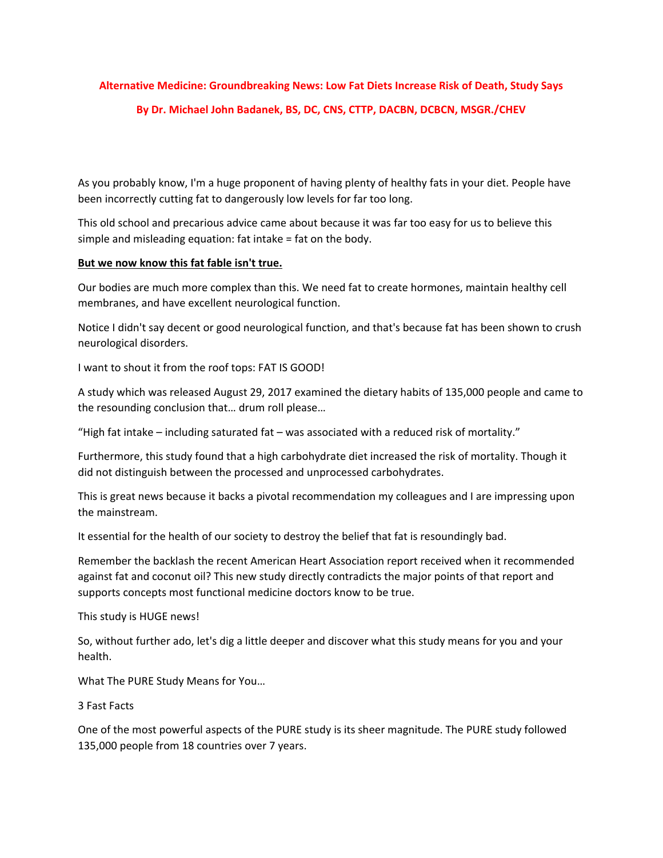## **Alternative Medicine: Groundbreaking News: Low Fat Diets Increase Risk of Death, Study Says By Dr. Michael John Badanek, BS, DC, CNS, CTTP, DACBN, DCBCN, MSGR./CHEV**

As you probably know, I'm a huge proponent of having plenty of healthy fats in your diet. People have been incorrectly cutting fat to dangerously low levels for far too long.

This old school and precarious advice came about because it was far too easy for us to believe this simple and misleading equation: fat intake = fat on the body.

## **But we now know this fat fable isn't true.**

Our bodies are much more complex than this. We need fat to create hormones, maintain healthy cell membranes, and have excellent neurological function.

Notice I didn't say decent or good neurological function, and that's because fat has been shown to crush neurological disorders.

I want to shout it from the roof tops: FAT IS GOOD!

A study which was released August 29, 2017 examined the dietary habits of 135,000 people and came to the resounding conclusion that… drum roll please…

"High fat intake – including saturated fat – was associated with a reduced risk of mortality."

Furthermore, this study found that a high carbohydrate diet increased the risk of mortality. Though it did not distinguish between the processed and unprocessed carbohydrates.

This is great news because it backs a pivotal recommendation my colleagues and I are impressing upon the mainstream.

It essential for the health of our society to destroy the belief that fat is resoundingly bad.

Remember the backlash the recent American Heart Association report received when it recommended against fat and coconut oil? This new study directly contradicts the major points of that report and supports concepts most functional medicine doctors know to be true.

This study is HUGE news!

So, without further ado, let's dig a little deeper and discover what this study means for you and your health.

What The PURE Study Means for You…

3 Fast Facts

One of the most powerful aspects of the PURE study is its sheer magnitude. The PURE study followed 135,000 people from 18 countries over 7 years.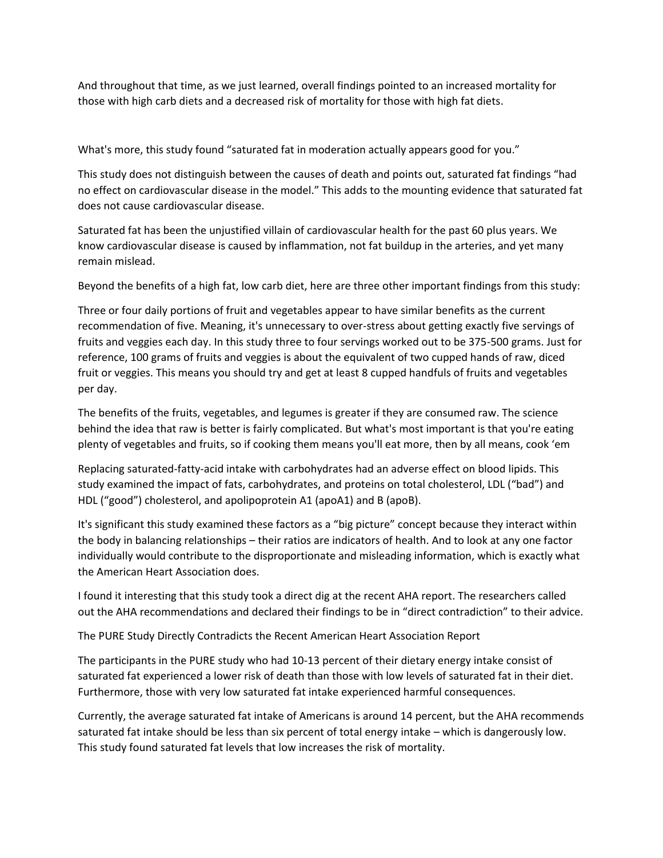And throughout that time, as we just learned, overall findings pointed to an increased mortality for those with high carb diets and a decreased risk of mortality for those with high fat diets.

What's more, this study found "saturated fat in moderation actually appears good for you."

This study does not distinguish between the causes of death and points out, saturated fat findings "had no effect on cardiovascular disease in the model." This adds to the mounting evidence that saturated fat does not cause cardiovascular disease.

Saturated fat has been the unjustified villain of cardiovascular health for the past 60 plus years. We know cardiovascular disease is caused by inflammation, not fat buildup in the arteries, and yet many remain mislead.

Beyond the benefits of a high fat, low carb diet, here are three other important findings from this study:

Three or four daily portions of fruit and vegetables appear to have similar benefits as the current recommendation of five. Meaning, it's unnecessary to over-stress about getting exactly five servings of fruits and veggies each day. In this study three to four servings worked out to be 375-500 grams. Just for reference, 100 grams of fruits and veggies is about the equivalent of two cupped hands of raw, diced fruit or veggies. This means you should try and get at least 8 cupped handfuls of fruits and vegetables per day.

The benefits of the fruits, vegetables, and legumes is greater if they are consumed raw. The science behind the idea that raw is better is fairly complicated. But what's most important is that you're eating plenty of vegetables and fruits, so if cooking them means you'll eat more, then by all means, cook 'em

Replacing saturated-fatty-acid intake with carbohydrates had an adverse effect on blood lipids. This study examined the impact of fats, carbohydrates, and proteins on total cholesterol, LDL ("bad") and HDL ("good") cholesterol, and apolipoprotein A1 (apoA1) and B (apoB).

It's significant this study examined these factors as a "big picture" concept because they interact within the body in balancing relationships – their ratios are indicators of health. And to look at any one factor individually would contribute to the disproportionate and misleading information, which is exactly what the American Heart Association does.

I found it interesting that this study took a direct dig at the recent AHA report. The researchers called out the AHA recommendations and declared their findings to be in "direct contradiction" to their advice.

The PURE Study Directly Contradicts the Recent American Heart Association Report

The participants in the PURE study who had 10-13 percent of their dietary energy intake consist of saturated fat experienced a lower risk of death than those with low levels of saturated fat in their diet. Furthermore, those with very low saturated fat intake experienced harmful consequences.

Currently, the average saturated fat intake of Americans is around 14 percent, but the AHA recommends saturated fat intake should be less than six percent of total energy intake – which is dangerously low. This study found saturated fat levels that low increases the risk of mortality.